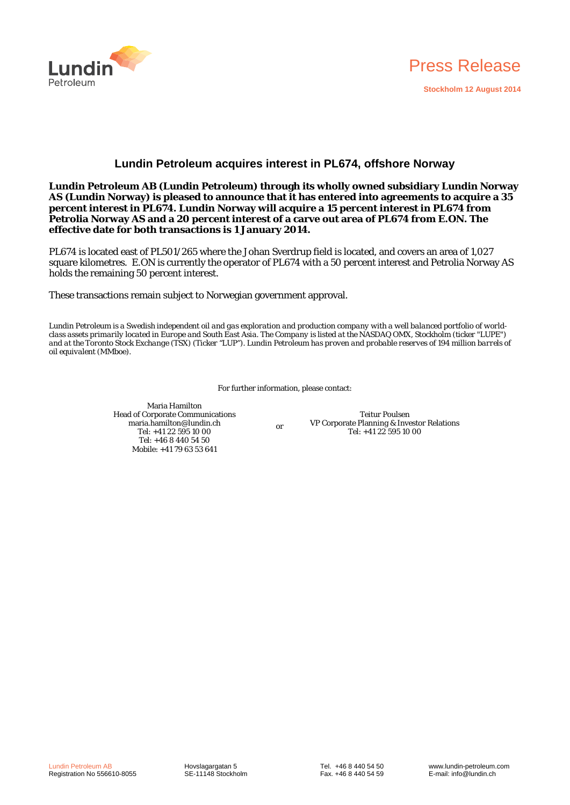



# **Lundin Petroleum acquires interest in PL674, offshore Norway**

**Lundin Petroleum AB (Lundin Petroleum) through its wholly owned subsidiary Lundin Norway AS (Lundin Norway) is pleased to announce that it has entered into agreements to acquire a 35 percent interest in PL674. Lundin Norway will acquire a 15 percent interest in PL674 from Petrolia Norway AS and a 20 percent interest of a carve out area of PL674 from E.ON. The effective date for both transactions is 1 January 2014.** 

PL674 is located east of PL501/265 where the Johan Sverdrup field is located, and covers an area of 1,027 square kilometres. E.ON is currently the operator of PL674 with a 50 percent interest and Petrolia Norway AS holds the remaining 50 percent interest.

These transactions remain subject to Norwegian government approval.

*Lundin Petroleum is a Swedish independent oil and gas exploration and production company with a well balanced portfolio of worldclass assets primarily located in Europe and South East Asia. The Company is listed at the NASDAQ OMX, Stockholm (ticker "LUPE")*  and at the Toronto Stock Exchange (TSX) (Ticker "LUP"). Lundin Petroleum has proven and probable reserves of 194 million barrels of *oil equivalent (MMboe).* 

For further information, please contact:

Maria Hamilton Head of Corporate Communications maria.hamilton@lundin.ch Tel: +41 22 595 10 00 Tel: +46 8 440 54 50 Mobile: +41 79 63 53 641

or

Teitur Poulsen VP Corporate Planning & Investor Relations Tel: +41 22 595 10 00